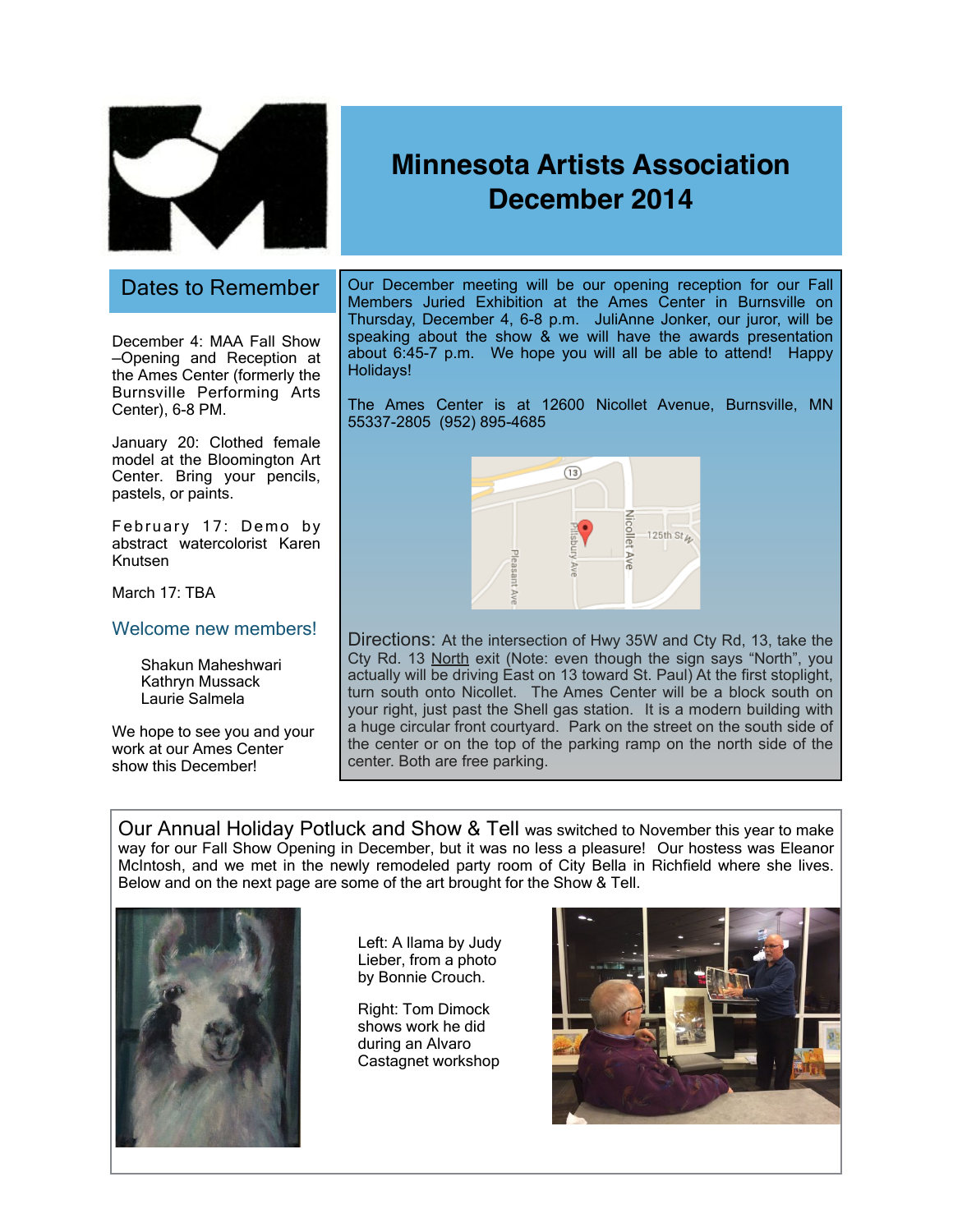

December 4: MAA Fall Show —Opening and Reception at the Ames Center (formerly the Burnsville Performing Arts

## **Minnesota Artists Association December 2014**

Dates to Remember | Our December meeting will be our opening reception for our Fall Members Juried Exhibition at the Ames Center in Burnsville on Thursday, December 4, 6-8 p.m. JuliAnne Jonker, our juror, will be speaking about the show & we will have the awards presentation about 6:45-7 p.m. We hope you will all be able to attend! Happy Holidays!

> The Ames Center is at 12600 Nicollet Avenue, Burnsville, MN 55337-2805 (952) 895-4685

January 20: Clothed female model at the Bloomington Art Center. Bring your pencils, pastels, or paints.

February 17: Demo by abstract watercolorist Karen Knutsen

March 17: TBA

Center), 6-8 PM.

## Welcome new members!

 Shakun Maheshwari Kathryn Mussack Laurie Salmela

We hope to see you and your work at our Ames Center show this December!



Directions: At the intersection of Hwy 35W and Cty Rd, 13, take the Cty Rd. 13 North exit (Note: even though the sign says "North", you actually will be driving East on 13 toward St. Paul) At the first stoplight, turn south onto Nicollet. The Ames Center will be a block south on your right, just past the Shell gas station. It is a modern building with a huge circular front courtyard. Park on the street on the south side of the center or on the top of the parking ramp on the north side of the center. Both are free parking.

Our Annual Holiday Potluck and Show & Tell was switched to November this year to make way for our Fall Show Opening in December, but it was no less a pleasure! Our hostess was Eleanor McIntosh, and we met in the newly remodeled party room of City Bella in Richfield where she lives. Below and on the next page are some of the art brought for the Show & Tell.



Left: A llama by Judy Lieber, from a photo by Bonnie Crouch.

Right: Tom Dimock shows work he did during an Alvaro Castagnet workshop